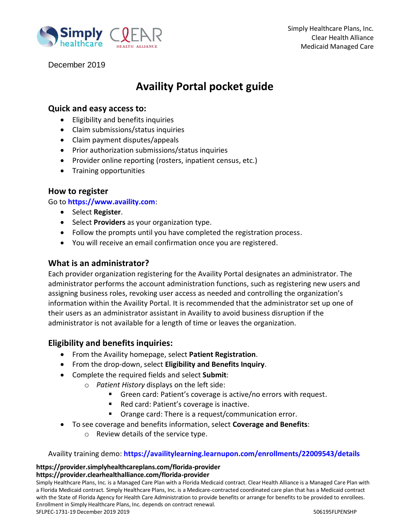

December 2019

# **Availity Portal pocket guide**

### **Quick and easy access to:**

- Eligibility and benefits inquiries
- Claim submissions/status inquiries
- Claim payment disputes/appeals
- Prior authorization submissions/status inquiries
- Provider online reporting (rosters, inpatient census, etc.)
- Training opportunities

### **How to register**

Go to **[https://www.availity.com](https://www.availity.com/)**:

- **•** Select **Register**.
- **Select Providers** as your organization type.
- Follow the prompts until you have completed the registration process.
- You will receive an email confirmation once you are registered.

### **What is an administrator?**

Each provider organization registering for the Availity Portal designates an administrator. The administrator performs the account administration functions, such as registering new users and assigning business roles, revoking user access as needed and controlling the organization's information within the Availity Portal. It is recommended that the administrator set up one of their users as an administrator assistant in Availity to avoid business disruption if the administrator is not available for a length of time or leaves the organization.

### **Eligibility and benefits inquiries:**

- From the Availity homepage, select **Patient Registration**.
- From the drop-down, select **Eligibility and Benefits Inquiry**.
- Complete the required fields and select **Submit**:
	- o *Patient History* displays on the left side:
		- Green card: Patient's coverage is active/no errors with request.
		- Red card: Patient's coverage is inactive.
		- Orange card: There is a request/communication error.
- To see coverage and benefits information, select **Coverage and Benefits**:
	- o Review details of the service type.

#### Availity training demo: **<https://availitylearning.learnupon.com/enrollments/22009543/details>**

### **https://provider.simplyhealthcareplans.com/florida-provider**

### **https://provider.clearhealthalliance.com/florida-provider**

Simply Healthcare Plans, Inc. is a Managed Care Plan with a Florida Medicaid contract. Clear Health Alliance is a Managed Care Plan with a Florida Medicaid contract. Simply Healthcare Plans, Inc. is a Medicare-contracted coordinated care plan that has a Medicaid contract with the State of Florida Agency for Health Care Administration to provide benefits or arrange for benefits to be provided to enrollees. Enrollment in Simply Healthcare Plans, Inc. depends on contract renewal. SFLPEC-1731-19 December 2019 2019 506195FLPENSHP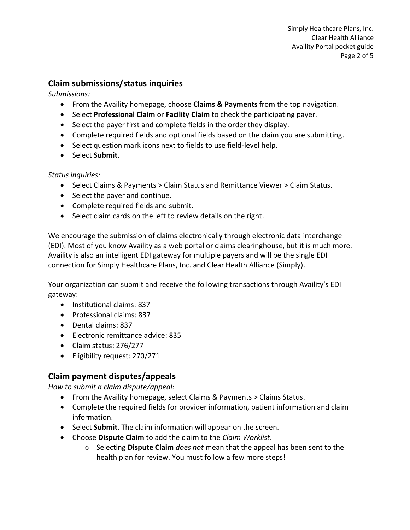# **Claim submissions/status inquiries**

*Submissions:*

- From the Availity homepage, choose **Claims & Payments** from the top navigation.
- Select **Professional Claim** or **Facility Claim** to check the participating payer.
- Select the payer first and complete fields in the order they display.
- Complete required fields and optional fields based on the claim you are submitting.
- Select question mark icons next to fields to use field-level help.
- **•** Select Submit.

*Status inquiries:*

- Select Claims & Payments > Claim Status and Remittance Viewer > Claim Status.
- Select the payer and continue.
- Complete required fields and submit.
- Select claim cards on the left to review details on the right.

We encourage the submission of claims electronically through electronic data interchange (EDI). Most of you know Availity as a web portal or claims clearinghouse, but it is much more. Availity is also an intelligent EDI gateway for multiple payers and will be the single EDI connection for Simply Healthcare Plans, Inc. and Clear Health Alliance (Simply).

Your organization can submit and receive the following transactions through Availity's EDI gateway:

- Institutional claims: 837
- Professional claims: 837
- Dental claims: 837
- Electronic remittance advice: 835
- Claim status: 276/277
- Eligibility request: 270/271

# **Claim payment disputes/appeals**

*How to submit a claim dispute/appeal:*

- From the Availity homepage, select Claims & Payments > Claims Status.
- Complete the required fields for provider information, patient information and claim information.
- **Select Submit**. The claim information will appear on the screen.
- Choose **Dispute Claim** to add the claim to the *Claim Worklist*.
	- o Selecting **Dispute Claim** *does not* mean that the appeal has been sent to the health plan for review. You must follow a few more steps!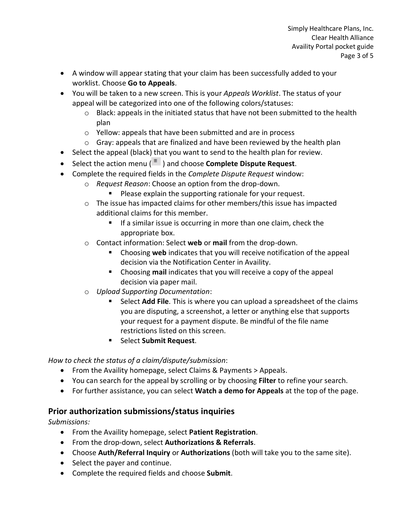- A window will appear stating that your claim has been successfully added to your worklist. Choose **Go to Appeals**.
- You will be taken to a new screen. This is your *Appeals Worklist*. The status of your appeal will be categorized into one of the following colors/statuses:
	- $\circ$  Black: appeals in the initiated status that have not been submitted to the health plan
	- o Yellow: appeals that have been submitted and are in process
	- o Gray: appeals that are finalized and have been reviewed by the health plan
- Select the appeal (black) that you want to send to the health plan for review.
- Select the action menu ( $\frac{1}{2}$ ) and choose **Complete Dispute Request**.
- Complete the required fields in the *Complete Dispute Request* window:
	- o *Request Reason*: Choose an option from the drop-down.
		- **Please explain the supporting rationale for your request.**
	- o The issue has impacted claims for other members/this issue has impacted additional claims for this member.
		- **If a similar issue is occurring in more than one claim, check the** appropriate box.
	- o Contact information: Select **web** or **mail** from the drop-down.
		- Choosing **web** indicates that you will receive notification of the appeal decision via the Notification Center in Availity.
		- Choosing **mail** indicates that you will receive a copy of the appeal decision via paper mail.
	- o *Upload Supporting Documentation*:
		- Select **Add File**. This is where you can upload a spreadsheet of the claims you are disputing, a screenshot, a letter or anything else that supports your request for a payment dispute. Be mindful of the file name restrictions listed on this screen.
		- Select **Submit Request**.

*How to check the status of a claim/dispute/submission*:

- From the Availity homepage, select Claims & Payments > Appeals.
- You can search for the appeal by scrolling or by choosing **Filter** to refine your search.
- For further assistance, you can select **Watch a demo for Appeals** at the top of the page.

## **Prior authorization submissions/status inquiries**

*Submissions:*

- From the Availity homepage, select **Patient Registration**.
- From the drop-down, select **Authorizations & Referrals**.
- Choose **Auth/Referral Inquiry** or **Authorizations** (both will take you to the same site).
- Select the payer and continue.
- Complete the required fields and choose **Submit**.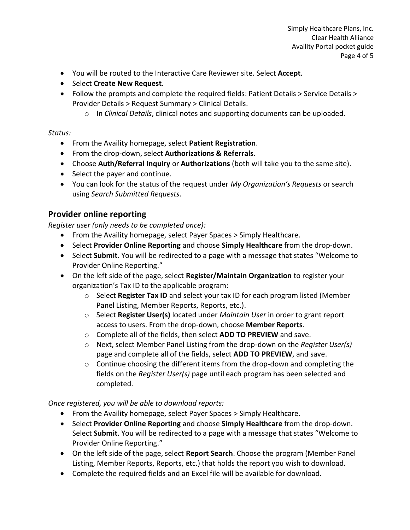- You will be routed to the Interactive Care Reviewer site. Select **Accept**.
- Select **Create New Request**.
- Follow the prompts and complete the required fields: Patient Details > Service Details > Provider Details > Request Summary > Clinical Details.
	- o In *Clinical Details*, clinical notes and supporting documents can be uploaded.

### *Status:*

- From the Availity homepage, select **Patient Registration**.
- From the drop-down, select **Authorizations & Referrals**.
- Choose **Auth/Referral Inquiry** or **Authorizations** (both will take you to the same site).
- Select the payer and continue.
- You can look for the status of the request under *My Organization's Requests* or search using *Search Submitted Requests*.

# **Provider online reporting**

*Register user (only needs to be completed once):*

- From the Availity homepage, select Payer Spaces > Simply Healthcare.
- Select **Provider Online Reporting** and choose **Simply Healthcare** from the drop-down.
- Select **Submit**. You will be redirected to a page with a message that states "Welcome to Provider Online Reporting."
- On the left side of the page, select **Register/Maintain Organization** to register your organization's Tax ID to the applicable program:
	- o Select **Register Tax ID** and select your tax ID for each program listed (Member Panel Listing, Member Reports, Reports, etc.).
	- o Select **Register User(s)** located under *Maintain User* in order to grant report access to users. From the drop-down, choose **Member Reports**.
	- o Complete all of the fields, then select **ADD TO PREVIEW** and save.
	- o Next, select Member Panel Listing from the drop-down on the *Register User(s)* page and complete all of the fields, select **ADD TO PREVIEW**, and save.
	- o Continue choosing the different items from the drop-down and completing the fields on the *Register User(s)* page until each program has been selected and completed.

### *Once registered, you will be able to download reports:*

- From the Availity homepage, select Payer Spaces > Simply Healthcare.
- Select **Provider Online Reporting** and choose **Simply Healthcare** from the drop-down. Select **Submit**. You will be redirected to a page with a message that states "Welcome to Provider Online Reporting."
- On the left side of the page, select **Report Search**. Choose the program (Member Panel Listing, Member Reports, Reports, etc.) that holds the report you wish to download.
- Complete the required fields and an Excel file will be available for download.